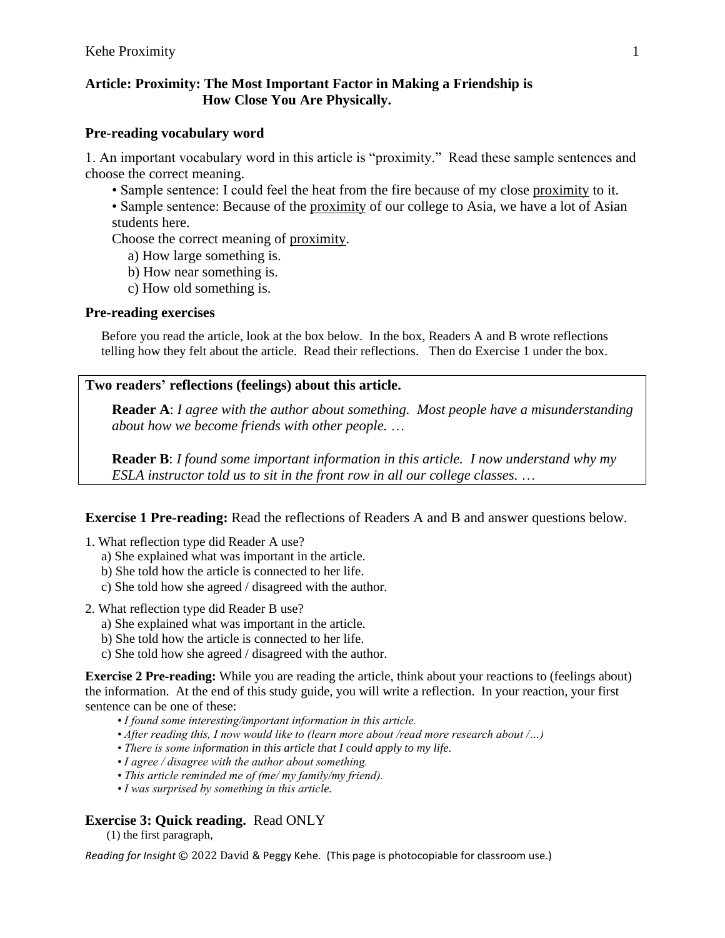### **Article: Proximity: The Most Important Factor in Making a Friendship is How Close You Are Physically.**

#### **Pre-reading vocabulary word**

1. An important vocabulary word in this article is "proximity." Read these sample sentences and choose the correct meaning.

- Sample sentence: I could feel the heat from the fire because of my close proximity to it.
- Sample sentence: Because of the proximity of our college to Asia, we have a lot of Asian students here.

Choose the correct meaning of proximity.

- a) How large something is.
- b) How near something is.
- c) How old something is.

#### **Pre-reading exercises**

Before you read the article, look at the box below. In the box, Readers A and B wrote reflections telling how they felt about the article. Read their reflections. Then do Exercise 1 under the box.

### **Two readers' reflections (feelings) about this article.**

**Reader A**: *I agree with the author about something. Most people have a misunderstanding about how we become friends with other people.* …

**Reader B**: *I found some important information in this article. I now understand why my ESLA instructor told us to sit in the front row in all our college classes.* …

**Exercise 1 Pre-reading:** Read the reflections of Readers A and B and answer questions below.

- 1. What reflection type did Reader A use?
	- a) She explained what was important in the article.
	- b) She told how the article is connected to her life.
	- c) She told how she agreed / disagreed with the author.
- 2. What reflection type did Reader B use?
	- a) She explained what was important in the article.
	- b) She told how the article is connected to her life.
	- c) She told how she agreed / disagreed with the author.

**Exercise 2 Pre-reading:** While you are reading the article, think about your reactions to (feelings about) the information. At the end of this study guide, you will write a reflection. In your reaction, your first sentence can be one of these:

- *I found some interesting/important information in this article.*
- *After reading this, I now would like to (learn more about /read more research about /…)*
- *There is some information in this article that I could apply to my life.*
- *I agree / disagree with the author about something.*
- *This article reminded me of (me/ my family/my friend).*
- *I was surprised by something in this article.*

### **Exercise 3: Quick reading.** Read ONLY

(1) the first paragraph,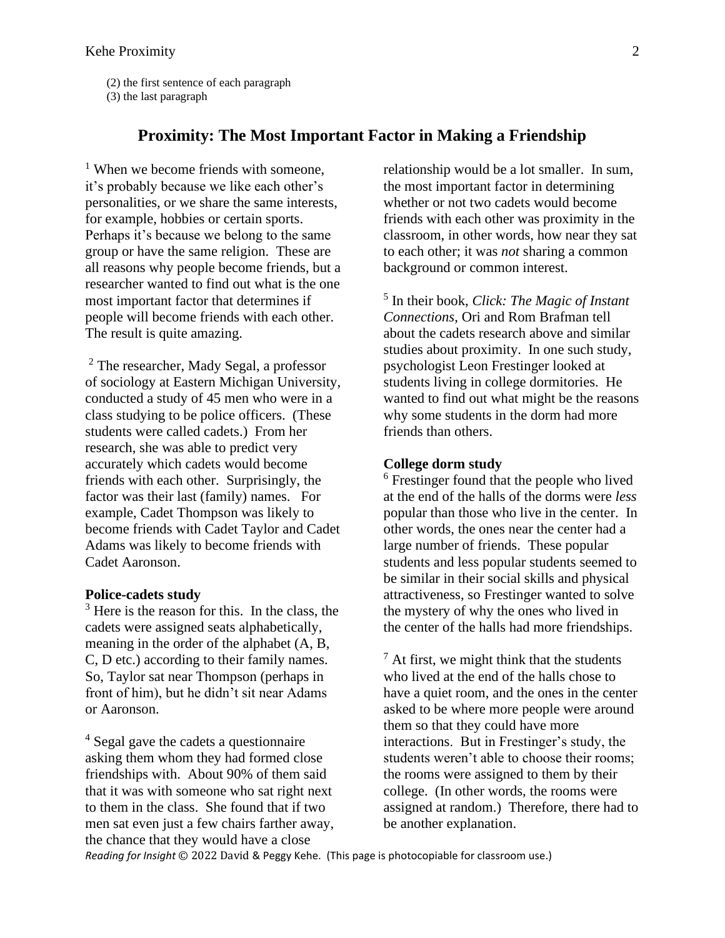(2) the first sentence of each paragraph

(3) the last paragraph

### **Proximity: The Most Important Factor in Making a Friendship**

<sup>1</sup> When we become friends with someone, it's probably because we like each other's personalities, or we share the same interests, for example, hobbies or certain sports. Perhaps it's because we belong to the same group or have the same religion. These are all reasons why people become friends, but a researcher wanted to find out what is the one most important factor that determines if people will become friends with each other. The result is quite amazing.

<sup>2</sup> The researcher, Mady Segal, a professor of sociology at Eastern Michigan University, conducted a study of 45 men who were in a class studying to be police officers. (These students were called cadets.) From her research, she was able to predict very accurately which cadets would become friends with each other. Surprisingly, the factor was their last (family) names. For example, Cadet Thompson was likely to become friends with Cadet Taylor and Cadet Adams was likely to become friends with Cadet Aaronson.

#### **Police-cadets study**

<sup>3</sup> Here is the reason for this. In the class, the cadets were assigned seats alphabetically, meaning in the order of the alphabet (A, B, C, D etc.) according to their family names. So, Taylor sat near Thompson (perhaps in front of him), but he didn't sit near Adams or Aaronson.

<sup>4</sup> Segal gave the cadets a questionnaire asking them whom they had formed close friendships with. About 90% of them said that it was with someone who sat right next to them in the class. She found that if two men sat even just a few chairs farther away, the chance that they would have a close

relationship would be a lot smaller. In sum, the most important factor in determining whether or not two cadets would become friends with each other was proximity in the classroom, in other words, how near they sat to each other; it was *not* sharing a common background or common interest.

5 In their book, *Click: The Magic of Instant Connections*, Ori and Rom Brafman tell about the cadets research above and similar studies about proximity. In one such study, psychologist Leon Frestinger looked at students living in college dormitories. He wanted to find out what might be the reasons why some students in the dorm had more friends than others.

#### **College dorm study**

<sup>6</sup> Frestinger found that the people who lived at the end of the halls of the dorms were *less* popular than those who live in the center. In other words, the ones near the center had a large number of friends. These popular students and less popular students seemed to be similar in their social skills and physical attractiveness, so Frestinger wanted to solve the mystery of why the ones who lived in the center of the halls had more friendships.

 $<sup>7</sup>$  At first, we might think that the students</sup> who lived at the end of the halls chose to have a quiet room, and the ones in the center asked to be where more people were around them so that they could have more interactions. But in Frestinger's study, the students weren't able to choose their rooms; the rooms were assigned to them by their college. (In other words, the rooms were assigned at random.) Therefore, there had to be another explanation.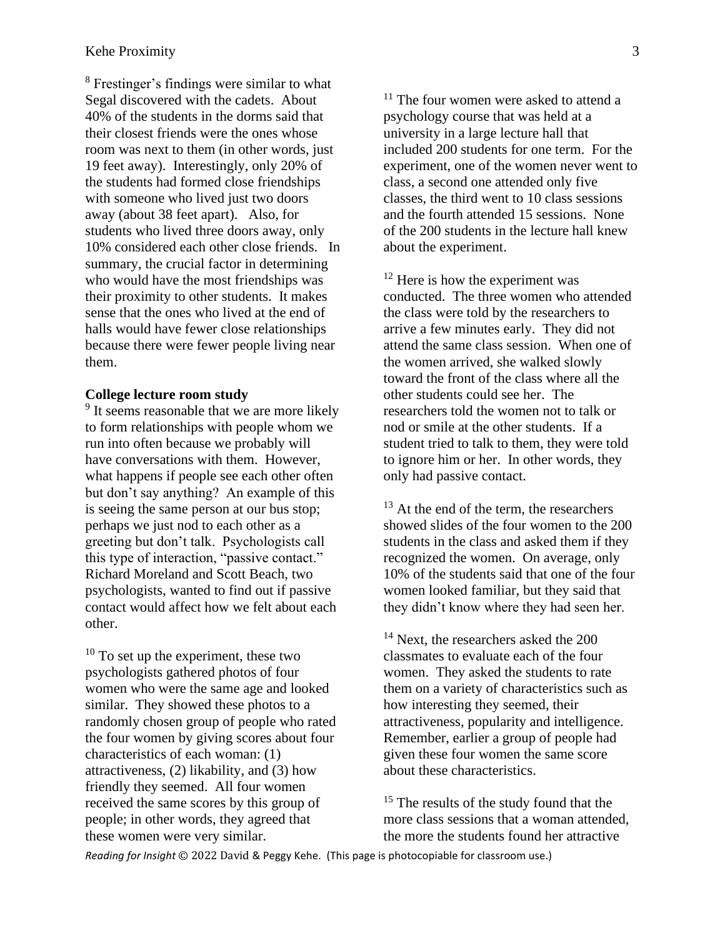<sup>8</sup> Frestinger's findings were similar to what Segal discovered with the cadets. About 40% of the students in the dorms said that their closest friends were the ones whose room was next to them (in other words, just 19 feet away). Interestingly, only 20% of the students had formed close friendships with someone who lived just two doors away (about 38 feet apart). Also, for students who lived three doors away, only 10% considered each other close friends. In summary, the crucial factor in determining who would have the most friendships was their proximity to other students. It makes sense that the ones who lived at the end of halls would have fewer close relationships because there were fewer people living near them.

#### **College lecture room study**

<sup>9</sup> It seems reasonable that we are more likely to form relationships with people whom we run into often because we probably will have conversations with them. However, what happens if people see each other often but don't say anything? An example of this is seeing the same person at our bus stop; perhaps we just nod to each other as a greeting but don't talk. Psychologists call this type of interaction, "passive contact." Richard Moreland and Scott Beach, two psychologists, wanted to find out if passive contact would affect how we felt about each other.

 $10$  To set up the experiment, these two psychologists gathered photos of four women who were the same age and looked similar. They showed these photos to a randomly chosen group of people who rated the four women by giving scores about four characteristics of each woman: (1) attractiveness, (2) likability, and (3) how friendly they seemed. All four women received the same scores by this group of people; in other words, they agreed that these women were very similar.

 $11$  The four women were asked to attend a psychology course that was held at a university in a large lecture hall that included 200 students for one term. For the experiment, one of the women never went to class, a second one attended only five classes, the third went to 10 class sessions and the fourth attended 15 sessions. None of the 200 students in the lecture hall knew about the experiment.

<sup>12</sup> Here is how the experiment was conducted. The three women who attended the class were told by the researchers to arrive a few minutes early. They did not attend the same class session. When one of the women arrived, she walked slowly toward the front of the class where all the other students could see her. The researchers told the women not to talk or nod or smile at the other students. If a student tried to talk to them, they were told to ignore him or her. In other words, they only had passive contact.

 $13$  At the end of the term, the researchers showed slides of the four women to the 200 students in the class and asked them if they recognized the women. On average, only 10% of the students said that one of the four women looked familiar, but they said that they didn't know where they had seen her.

<sup>14</sup> Next, the researchers asked the 200 classmates to evaluate each of the four women. They asked the students to rate them on a variety of characteristics such as how interesting they seemed, their attractiveness, popularity and intelligence. Remember, earlier a group of people had given these four women the same score about these characteristics.

<sup>15</sup> The results of the study found that the more class sessions that a woman attended, the more the students found her attractive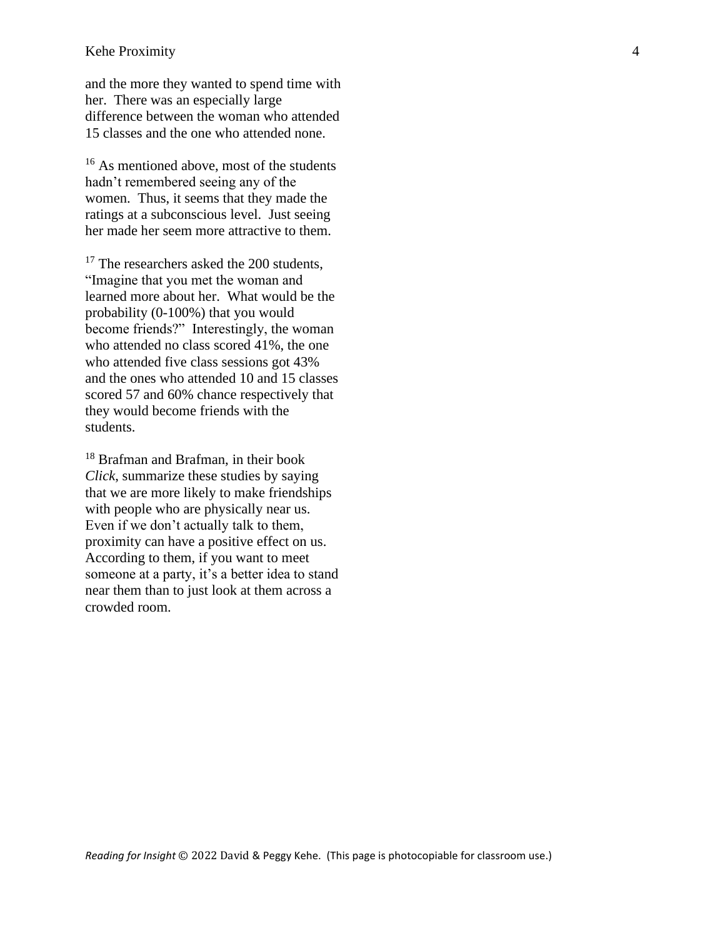#### Kehe Proximity 4

and the more they wanted to spend time with her. There was an especially large difference between the woman who attended 15 classes and the one who attended none.

<sup>16</sup> As mentioned above, most of the students hadn't remembered seeing any of the women. Thus, it seems that they made the ratings at a subconscious level. Just seeing her made her seem more attractive to them.

<sup>17</sup> The researchers asked the 200 students, "Imagine that you met the woman and learned more about her. What would be the probability (0-100%) that you would become friends?" Interestingly, the woman who attended no class scored 41%, the one who attended five class sessions got 43% and the ones who attended 10 and 15 classes scored 57 and 60% chance respectively that they would become friends with the students.

<sup>18</sup> Brafman and Brafman, in their book *Click*, summarize these studies by saying that we are more likely to make friendships with people who are physically near us. Even if we don't actually talk to them, proximity can have a positive effect on us. According to them, if you want to meet someone at a party, it's a better idea to stand near them than to just look at them across a crowded room.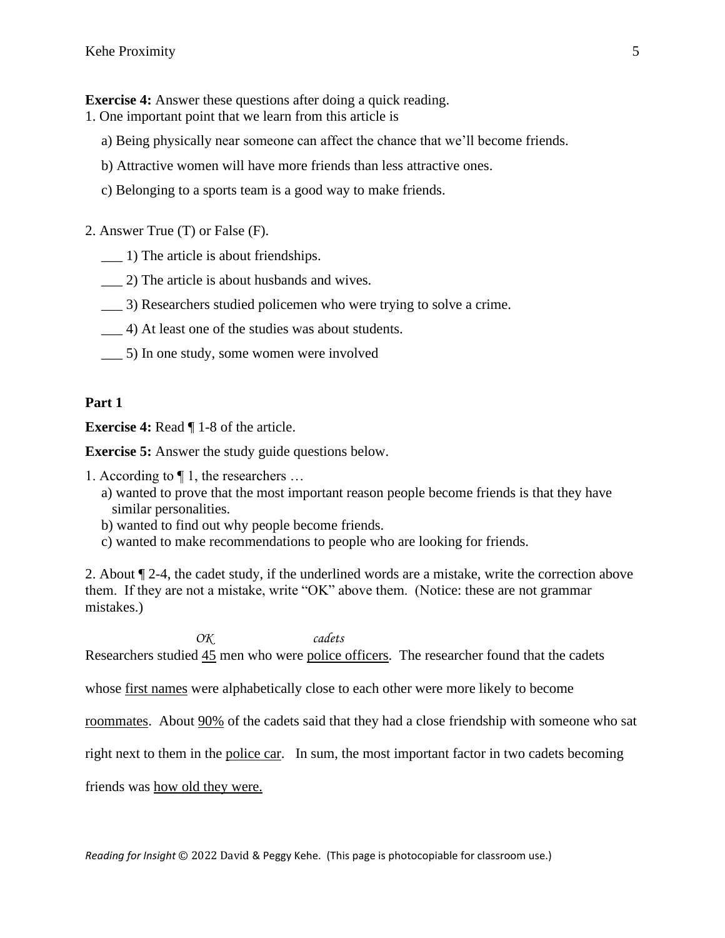**Exercise 4:** Answer these questions after doing a quick reading.

- 1. One important point that we learn from this article is
	- a) Being physically near someone can affect the chance that we'll become friends.
	- b) Attractive women will have more friends than less attractive ones.
	- c) Belonging to a sports team is a good way to make friends.
- 2. Answer True (T) or False (F).
	- \_\_\_ 1) The article is about friendships.
	- \_\_\_ 2) The article is about husbands and wives.
	- \_\_\_ 3) Researchers studied policemen who were trying to solve a crime.
	- \_\_\_ 4) At least one of the studies was about students.
	- \_\_\_ 5) In one study, some women were involved

#### **Part 1**

**Exercise 4:** Read ¶ 1-8 of the article.

**Exercise 5:** Answer the study guide questions below.

- 1. According to ¶ 1, the researchers …
	- a) wanted to prove that the most important reason people become friends is that they have similar personalities.
	- b) wanted to find out why people become friends.
	- c) wanted to make recommendations to people who are looking for friends.

2. About ¶ 2-4, the cadet study, if the underlined words are a mistake, write the correction above them. If they are not a mistake, write "OK" above them. (Notice: these are not grammar mistakes.)

 *OK cadets* Researchers studied 45 men who were police officers. The researcher found that the cadets

whose first names were alphabetically close to each other were more likely to become

roommates. About 90% of the cadets said that they had a close friendship with someone who sat

right next to them in the police car. In sum, the most important factor in two cadets becoming

friends was how old they were.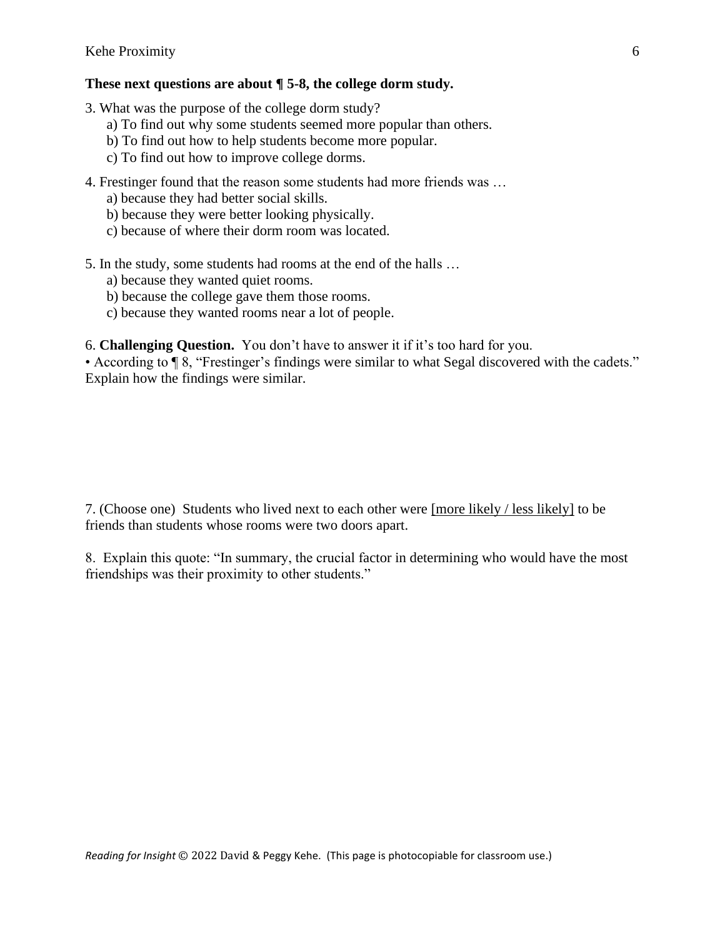#### **These next questions are about ¶ 5-8, the college dorm study.**

- 3. What was the purpose of the college dorm study?
	- a) To find out why some students seemed more popular than others.
	- b) To find out how to help students become more popular.
	- c) To find out how to improve college dorms.
- 4. Frestinger found that the reason some students had more friends was …
	- a) because they had better social skills.
	- b) because they were better looking physically.
	- c) because of where their dorm room was located.
- 5. In the study, some students had rooms at the end of the halls …
	- a) because they wanted quiet rooms.
	- b) because the college gave them those rooms.
	- c) because they wanted rooms near a lot of people.

6. **Challenging Question.** You don't have to answer it if it's too hard for you.

• According to ¶ 8, "Frestinger's findings were similar to what Segal discovered with the cadets." Explain how the findings were similar.

7. (Choose one) Students who lived next to each other were [more likely / less likely] to be friends than students whose rooms were two doors apart.

8. Explain this quote: "In summary, the crucial factor in determining who would have the most friendships was their proximity to other students."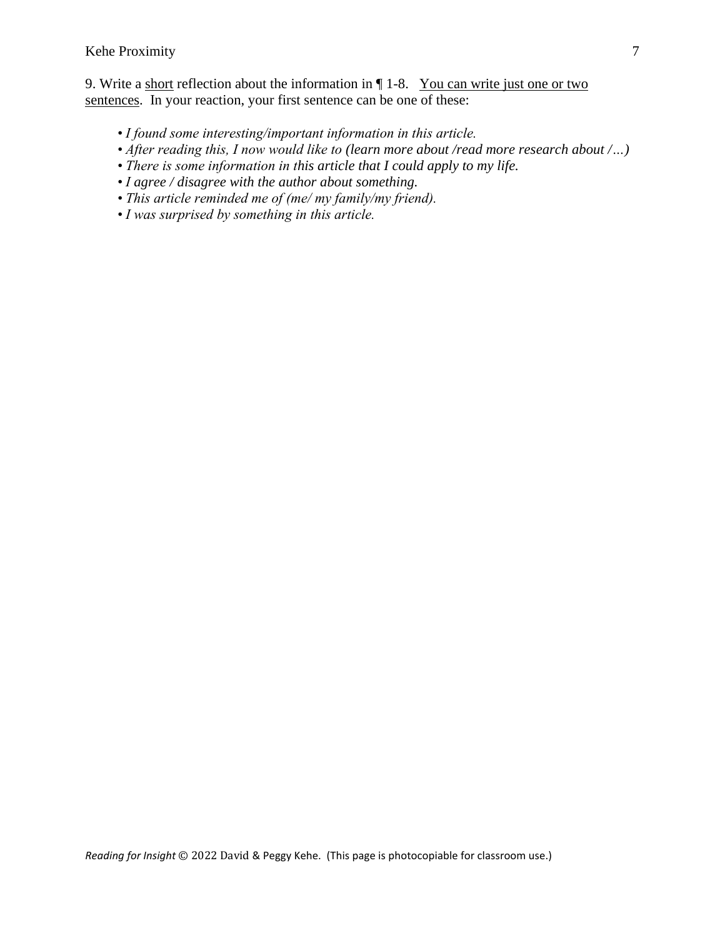#### Kehe Proximity 7

9. Write a short reflection about the information in  $\P$  1-8. You can write just one or two sentences. In your reaction, your first sentence can be one of these:

- *I found some interesting/important information in this article.*
- *After reading this, I now would like to (learn more about /read more research about /…)*
- *There is some information in this article that I could apply to my life.*
- *I agree / disagree with the author about something.*
- *This article reminded me of (me/ my family/my friend).*
- *I was surprised by something in this article.*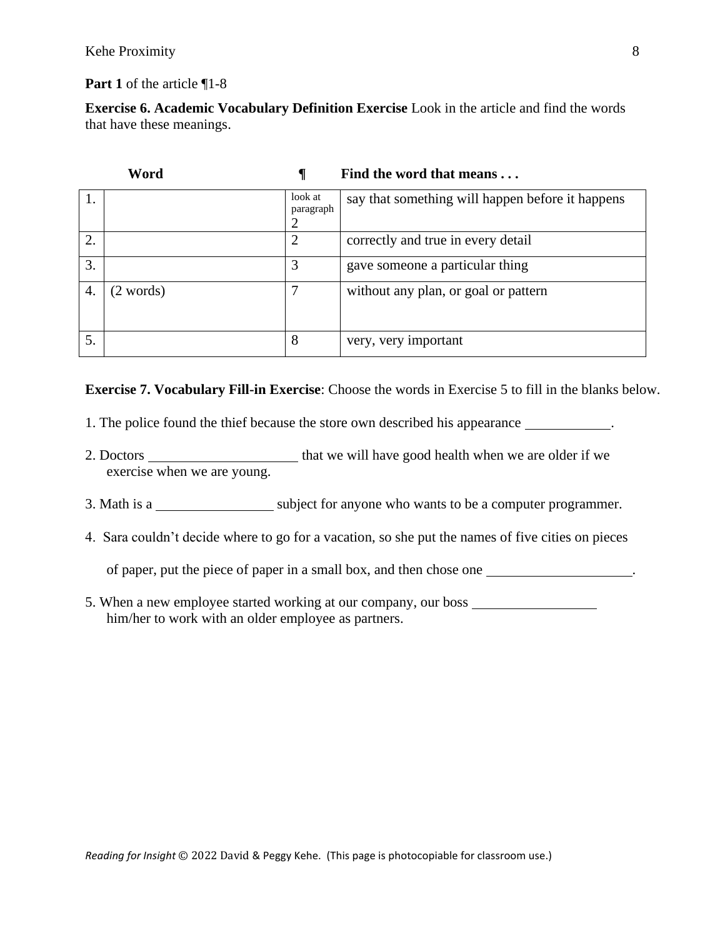#### Kehe Proximity 8

**Part 1** of the article ¶1-8

**Exercise 6. Academic Vocabulary Definition Exercise** Look in the article and find the words that have these meanings.

| Word |           |                      | Find the word that means                         |
|------|-----------|----------------------|--------------------------------------------------|
|      |           | look at<br>paragraph | say that something will happen before it happens |
|      |           | 2                    |                                                  |
| 2.   |           | $\overline{2}$       | correctly and true in every detail               |
| 3.   |           | 3                    | gave someone a particular thing                  |
| 4.   | (2 words) | 7                    | without any plan, or goal or pattern             |
| 5.   |           | 8                    | very, very important                             |

**Exercise 7. Vocabulary Fill-in Exercise**: Choose the words in Exercise 5 to fill in the blanks below.

- 1. The police found the thief because the store own described his appearance .
- 2. Doctors that we will have good health when we are older if we exercise when we are young.
- 3. Math is a subject for anyone who wants to be a computer programmer.
- 4. Sara couldn't decide where to go for a vacation, so she put the names of five cities on pieces

of paper, put the piece of paper in a small box, and then chose one .

5. When a new employee started working at our company, our boss him/her to work with an older employee as partners.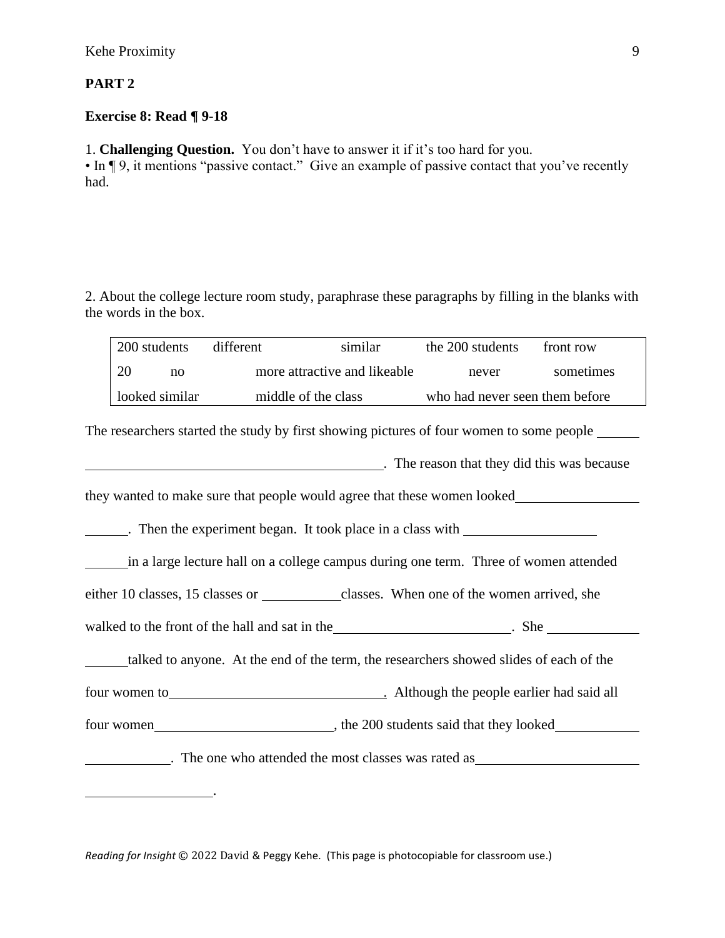## **PART 2**

## **Exercise 8: Read ¶ 9-18**

1. **Challenging Question.** You don't have to answer it if it's too hard for you.

• In ¶ 9, it mentions "passive contact." Give an example of passive contact that you've recently had.

2. About the college lecture room study, paraphrase these paragraphs by filling in the blanks with the words in the box.

|    | 200 students   | different | similar                      | the 200 students               | front row |
|----|----------------|-----------|------------------------------|--------------------------------|-----------|
| 20 | no             |           | more attractive and likeable | never                          | sometimes |
|    | looked similar |           | middle of the class          | who had never seen them before |           |

The researchers started the study by first showing pictures of four women to some people

. The reason that they did this was because

they wanted to make sure that people would agree that these women looked

. Then the experiment began. It took place in a class with

in a large lecture hall on a college campus during one term. Three of women attended

either 10 classes, 15 classes or classes. When one of the women arrived, she

walked to the front of the hall and sat in the set of the state of the hall and sat in the set of state of state of  $\frac{1}{2}$ . She

talked to anyone. At the end of the term, the researchers showed slides of each of the

four women to . Although the people earlier had said all

four women , the 200 students said that they looked

. The one who attended the most classes was rated as

*Reading for Insight* © 2022 David & Peggy Kehe. (This page is photocopiable for classroom use.)

.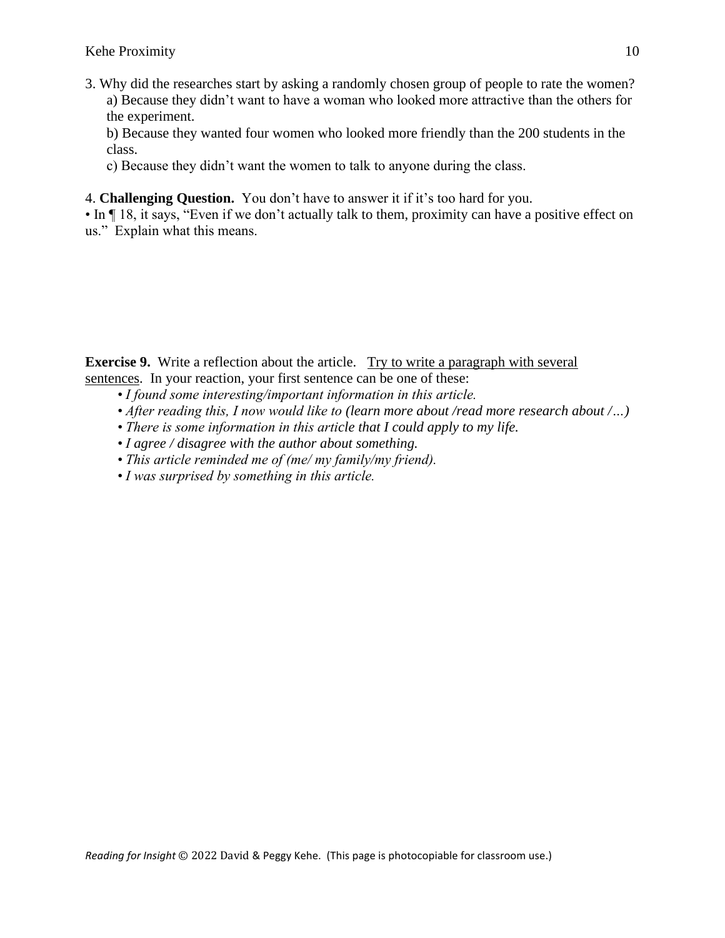3. Why did the researches start by asking a randomly chosen group of people to rate the women? a) Because they didn't want to have a woman who looked more attractive than the others for the experiment.

b) Because they wanted four women who looked more friendly than the 200 students in the class.

c) Because they didn't want the women to talk to anyone during the class.

4. **Challenging Question.** You don't have to answer it if it's too hard for you.

• In  $\P$  18, it says, "Even if we don't actually talk to them, proximity can have a positive effect on us." Explain what this means.

**Exercise 9.** Write a reflection about the article. Try to write a paragraph with several sentences. In your reaction, your first sentence can be one of these:

- *I found some interesting/important information in this article.*
- *After reading this, I now would like to (learn more about /read more research about /…)*
- *There is some information in this article that I could apply to my life.*
- *I agree / disagree with the author about something.*
- *This article reminded me of (me/ my family/my friend).*
- *I was surprised by something in this article.*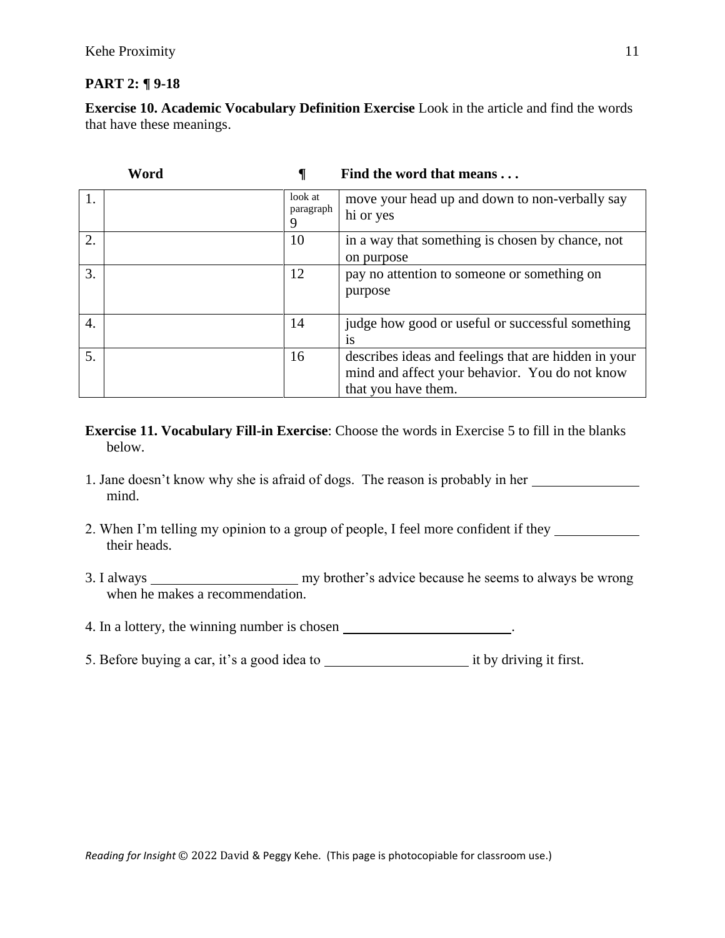## **PART 2: ¶ 9-18**

**Exercise 10. Academic Vocabulary Definition Exercise** Look in the article and find the words that have these meanings.

|    | Word |                           | Find the word that means                                                                                                      |
|----|------|---------------------------|-------------------------------------------------------------------------------------------------------------------------------|
| 1. |      | look at<br>paragraph<br>9 | move your head up and down to non-verbally say<br>hi or yes                                                                   |
| 2. |      | 10                        | in a way that something is chosen by chance, not<br>on purpose                                                                |
| 3. |      | 12                        | pay no attention to someone or something on<br>purpose                                                                        |
| 4. |      | 14                        | judge how good or useful or successful something<br><b>1S</b>                                                                 |
| 5. |      | 16                        | describes ideas and feelings that are hidden in your<br>mind and affect your behavior. You do not know<br>that you have them. |

- **Exercise 11. Vocabulary Fill-in Exercise**: Choose the words in Exercise 5 to fill in the blanks below.
- 1. Jane doesn't know why she is afraid of dogs. The reason is probably in her mind.
- 2. When I'm telling my opinion to a group of people, I feel more confident if they their heads.
- 3. I always my brother's advice because he seems to always be wrong when he makes a recommendation.
- 4. In a lottery, the winning number is chosen \_\_\_\_\_\_\_\_\_\_\_\_\_\_\_\_\_\_\_\_\_.
- 5. Before buying a car, it's a good idea to it by driving it first.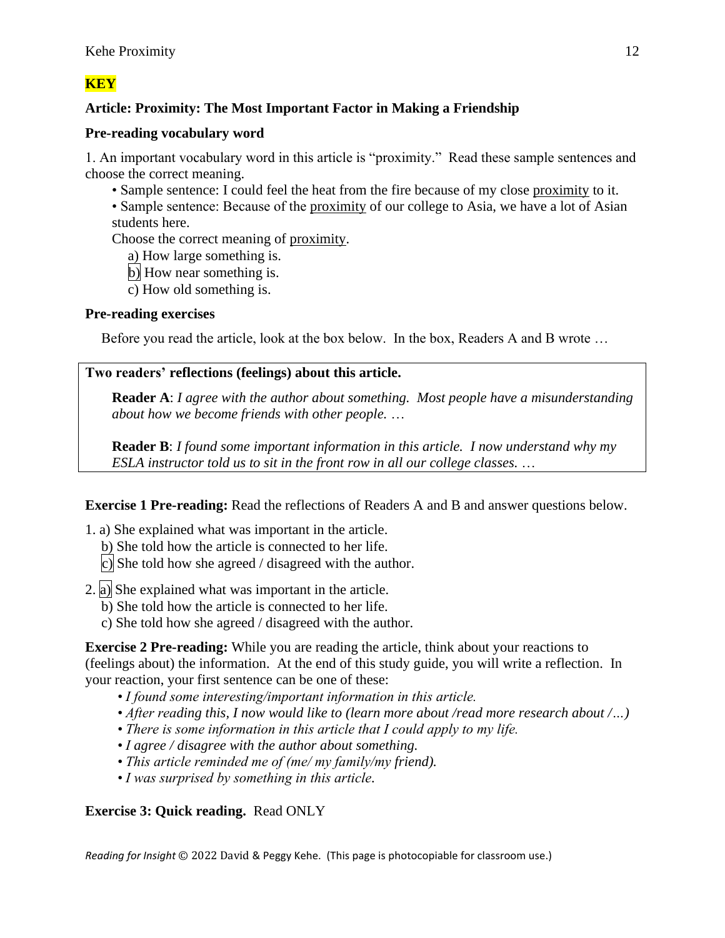# **Article: Proximity: The Most Important Factor in Making a Friendship**

## **Pre-reading vocabulary word**

1. An important vocabulary word in this article is "proximity." Read these sample sentences and choose the correct meaning.

- Sample sentence: I could feel the heat from the fire because of my close proximity to it.
- Sample sentence: Because of the proximity of our college to Asia, we have a lot of Asian students here.

Choose the correct meaning of proximity.

a) How large something is.

- b) How near something is.
- c) How old something is.

## **Pre-reading exercises**

Before you read the article, look at the box below. In the box, Readers A and B wrote …

## **Two readers' reflections (feelings) about this article.**

**Reader A**: *I agree with the author about something. Most people have a misunderstanding about how we become friends with other people.* …

**Reader B**: *I found some important information in this article. I now understand why my ESLA instructor told us to sit in the front row in all our college classes.* …

**Exercise 1 Pre-reading:** Read the reflections of Readers A and B and answer questions below.

- 1. a) She explained what was important in the article.
	- b) She told how the article is connected to her life.
	- c) She told how she agreed / disagreed with the author.
- 2. a) She explained what was important in the article.
	- b) She told how the article is connected to her life.
	- c) She told how she agreed / disagreed with the author.

**Exercise 2 Pre-reading:** While you are reading the article, think about your reactions to (feelings about) the information. At the end of this study guide, you will write a reflection. In your reaction, your first sentence can be one of these:

- *I found some interesting/important information in this article.*
- *After reading this, I now would like to (learn more about /read more research about /…)*
- *There is some information in this article that I could apply to my life.*
- *I agree / disagree with the author about something.*
- *This article reminded me of (me/ my family/my friend).*
- *I was surprised by something in this article.*

## **Exercise 3: Quick reading.** Read ONLY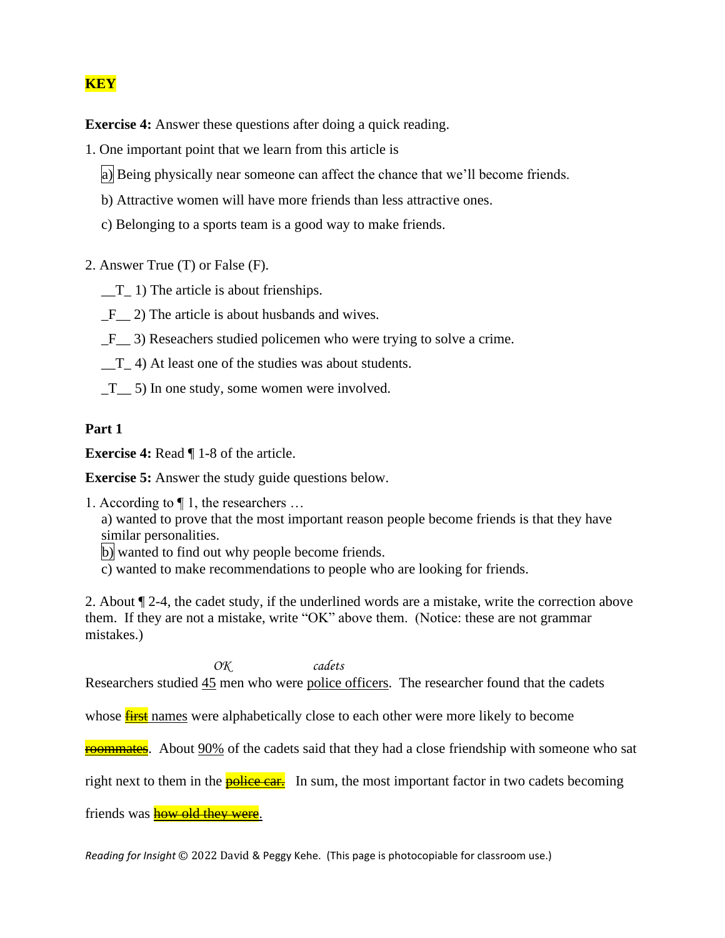**Exercise 4:** Answer these questions after doing a quick reading.

- 1. One important point that we learn from this article is
	- a) Being physically near someone can affect the chance that we'll become friends.
	- b) Attractive women will have more friends than less attractive ones.
	- c) Belonging to a sports team is a good way to make friends.
- 2. Answer True (T) or False (F).
	- $_T_1$  1) The article is about frienships.
	- F 2) The article is about husbands and wives.
	- \_F\_\_ 3) Reseachers studied policemen who were trying to solve a crime.
	- $T_{-}$  4) At least one of the studies was about students.
	- $T_{\text{m}}$  5) In one study, some women were involved.

#### **Part 1**

**Exercise 4:** Read  $\P$  1-8 of the article.

**Exercise 5:** Answer the study guide questions below.

1. According to ¶ 1, the researchers …

a) wanted to prove that the most important reason people become friends is that they have similar personalities.

- b) wanted to find out why people become friends.
- c) wanted to make recommendations to people who are looking for friends.

2. About ¶ 2-4, the cadet study, if the underlined words are a mistake, write the correction above them. If they are not a mistake, write "OK" above them. (Notice: these are not grammar mistakes.)

*OK cadets* Researchers studied 45 men who were police officers. The researcher found that the cadets

whose **first** names were alphabetically close to each other were more likely to become

**roommates.** About 90% of the cadets said that they had a close friendship with someone who sat

right next to them in the **police car.** In sum, the most important factor in two cadets becoming

friends was **how old they were**.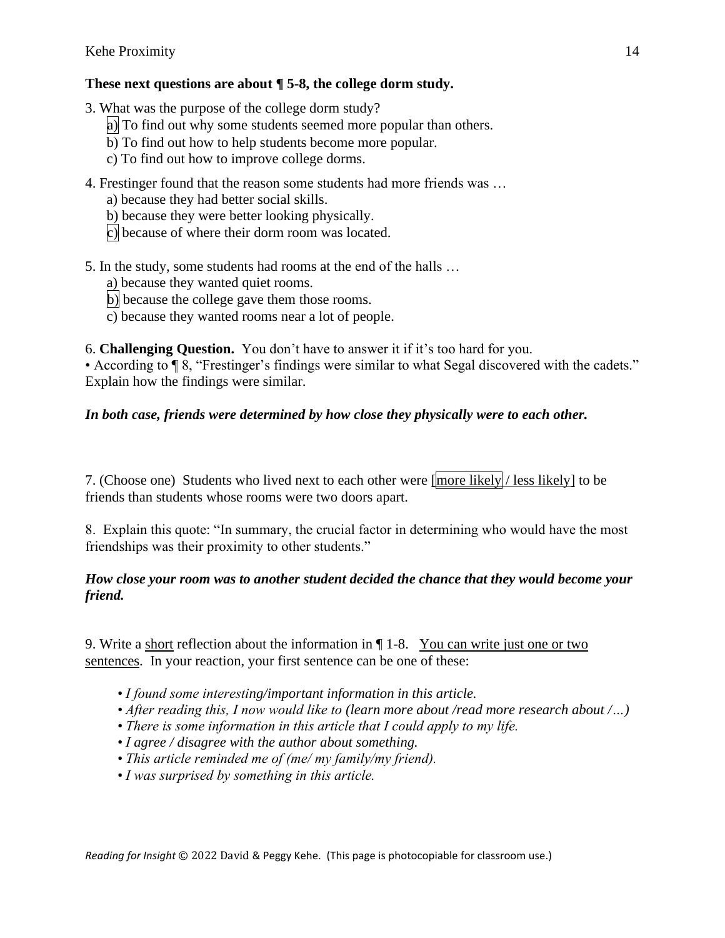# **These next questions are about ¶ 5-8, the college dorm study.**

- 3. What was the purpose of the college dorm study?
	- a) To find out why some students seemed more popular than others.
	- $\overline{b}$ ) To find out how to help students become more popular.
	- c) To find out how to improve college dorms.
- 4. Frestinger found that the reason some students had more friends was …
	- a) because they had better social skills.
	- b) because they were better looking physically.
	- c) because of where their dorm room was located.
- 5. In the study, some students had rooms at the end of the halls …
	- a) because they wanted quiet rooms.
	- b) because the college gave them those rooms.
	- $\overline{c}$ ) because they wanted rooms near a lot of people.

6. **Challenging Question.** You don't have to answer it if it's too hard for you.

• According to ¶ 8, "Frestinger's findings were similar to what Segal discovered with the cadets." Explain how the findings were similar.

# *In both case, friends were determined by how close they physically were to each other.*

7. (Choose one) Students who lived next to each other were  $\frac{1}{2}$  likely / less likely to be friends than students whose rooms were two doors apart.

8. Explain this quote: "In summary, the crucial factor in determining who would have the most friendships was their proximity to other students."

## *How close your room was to another student decided the chance that they would become your friend.*

9. Write a short reflection about the information in ¶ 1-8. You can write just one or two sentences. In your reaction, your first sentence can be one of these:

- *I found some interesting/important information in this article.*
- *After reading this, I now would like to (learn more about /read more research about /…)*
- *There is some information in this article that I could apply to my life.*
- *I agree / disagree with the author about something.*
- *This article reminded me of (me/ my family/my friend).*
- *I was surprised by something in this article.*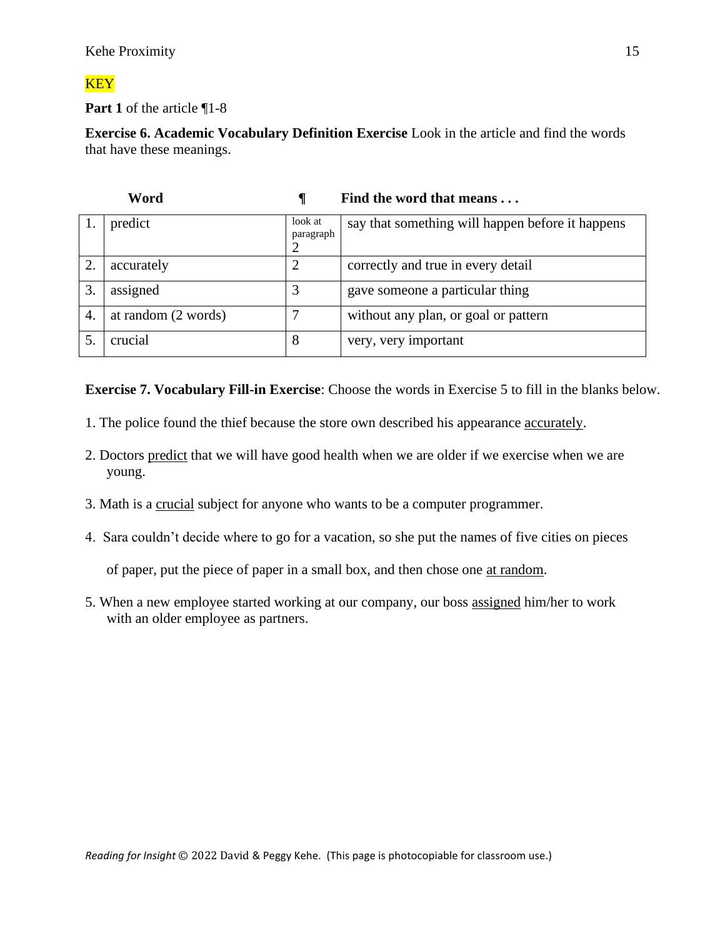**Part 1** of the article ¶1-8

**Exercise 6. Academic Vocabulary Definition Exercise** Look in the article and find the words that have these meanings.

| Word |                     |                                        | Find the word that means                         |  |
|------|---------------------|----------------------------------------|--------------------------------------------------|--|
|      | predict             | look at<br>paragraph<br>$\overline{2}$ | say that something will happen before it happens |  |
| 2.   | accurately          | $\overline{2}$                         | correctly and true in every detail               |  |
| 3.   | assigned            | 3                                      | gave someone a particular thing                  |  |
| 4.   | at random (2 words) |                                        | without any plan, or goal or pattern             |  |
|      | crucial             | 8                                      | very, very important                             |  |

**Exercise 7. Vocabulary Fill-in Exercise**: Choose the words in Exercise 5 to fill in the blanks below.

- 1. The police found the thief because the store own described his appearance accurately.
- 2. Doctors predict that we will have good health when we are older if we exercise when we are young.
- 3. Math is a crucial subject for anyone who wants to be a computer programmer.
- 4. Sara couldn't decide where to go for a vacation, so she put the names of five cities on pieces

of paper, put the piece of paper in a small box, and then chose one at random.

5. When a new employee started working at our company, our boss assigned him/her to work with an older employee as partners.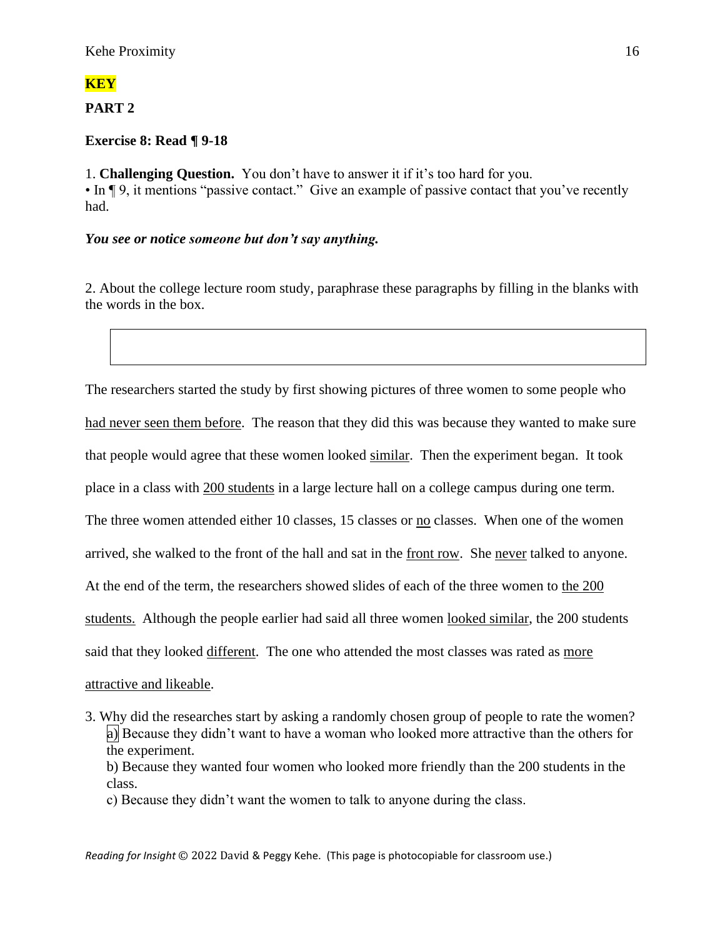## **PART 2**

## **Exercise 8: Read ¶ 9-18**

1. **Challenging Question.** You don't have to answer it if it's too hard for you. • In ¶ 9, it mentions "passive contact." Give an example of passive contact that you've recently had.

## *You see or notice someone but don't say anything.*

2. About the college lecture room study, paraphrase these paragraphs by filling in the blanks with the words in the box.

The researchers started the study by first showing pictures of three women to some people who had never seen them before. The reason that they did this was because they wanted to make sure that people would agree that these women looked similar. Then the experiment began. It took place in a class with 200 students in a large lecture hall on a college campus during one term. The three women attended either 10 classes, 15 classes or no classes. When one of the women arrived, she walked to the front of the hall and sat in the front row. She never talked to anyone. At the end of the term, the researchers showed slides of each of the three women to the 200 students. Although the people earlier had said all three women looked similar, the 200 students said that they looked different. The one who attended the most classes was rated as more attractive and likeable.

3. Why did the researches start by asking a randomly chosen group of people to rate the women? a) Because they didn't want to have a woman who looked more attractive than the others for the experiment.

b) Because they wanted four women who looked more friendly than the 200 students in the class.

c) Because they didn't want the women to talk to anyone during the class.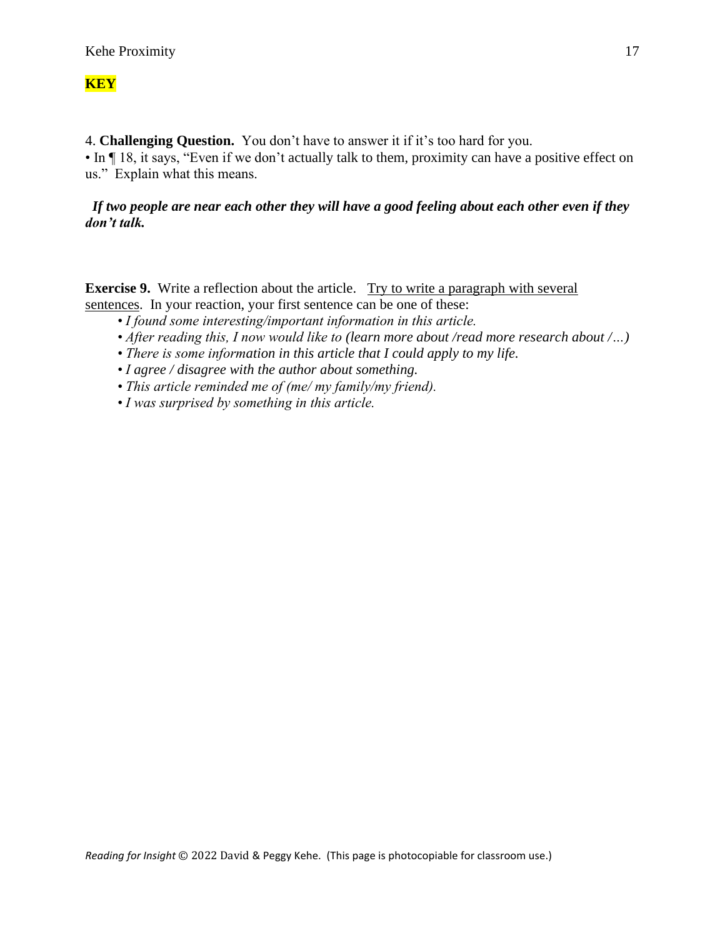4. **Challenging Question.** You don't have to answer it if it's too hard for you. • In  $\P$  18, it says, "Even if we don't actually talk to them, proximity can have a positive effect on us." Explain what this means.

### *If two people are near each other they will have a good feeling about each other even if they don't talk.*

**Exercise 9.** Write a reflection about the article. Try to write a paragraph with several sentences. In your reaction, your first sentence can be one of these:

- *I found some interesting/important information in this article.*
- *After reading this, I now would like to (learn more about /read more research about /…)*
- *There is some information in this article that I could apply to my life.*
- *I agree / disagree with the author about something.*
- *This article reminded me of (me/ my family/my friend).*
- *I was surprised by something in this article.*